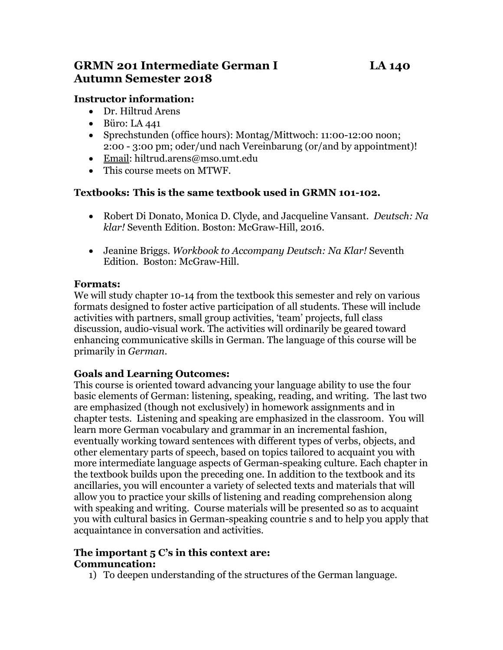# **GRMN 201 Intermediate German I LA 140 Autumn Semester 2018**

### **Instructor information:**

- Dr. Hiltrud Arens
- Büro: LA 441
- Sprechstunden (office hours): Montag/Mittwoch: 11:00-12:00 noon; 2:00 - 3:00 pm; oder/und nach Vereinbarung (or/and by appointment)!
- [Email:](mailto:hiltrud.arens@mso.umt.edu) hiltrud.arens@mso.umt.edu
- This course meets on MTWF.

#### **Textbooks: This is the same textbook used in GRMN 101-102.**

- Robert Di Donato, Monica D. Clyde, and Jacqueline Vansant. *Deutsch: Na klar!* Seventh Edition. Boston: McGraw-Hill, 2016.
- Jeanine Briggs. *Workbook to Accompany Deutsch: Na Klar!* Seventh Edition. Boston: McGraw-Hill.

#### **Formats:**

We will study chapter 10-14 from the textbook this semester and rely on various formats designed to foster active participation of all students. These will include activities with partners, small group activities, 'team' projects, full class discussion, audio-visual work. The activities will ordinarily be geared toward enhancing communicative skills in German. The language of this course will be primarily in *German*.

### **Goals and Learning Outcomes:**

This course is oriented toward advancing your language ability to use the four basic elements of German: listening, speaking, reading, and writing. The last two are emphasized (though not exclusively) in homework assignments and in chapter tests. Listening and speaking are emphasized in the classroom. You will learn more German vocabulary and grammar in an incremental fashion, eventually working toward sentences with different types of verbs, objects, and other elementary parts of speech, based on topics tailored to acquaint you with more intermediate language aspects of German-speaking culture. Each chapter in the textbook builds upon the preceding one. In addition to the textbook and its ancillaries, you will encounter a variety of selected texts and materials that will allow you to practice your skills of listening and reading comprehension along with speaking and writing. Course materials will be presented so as to acquaint you with cultural basics in German-speaking countrie s and to help you apply that acquaintance in conversation and activities.

#### **The important 5 C's in this context are: Communcation:**

1) To deepen understanding of the structures of the German language.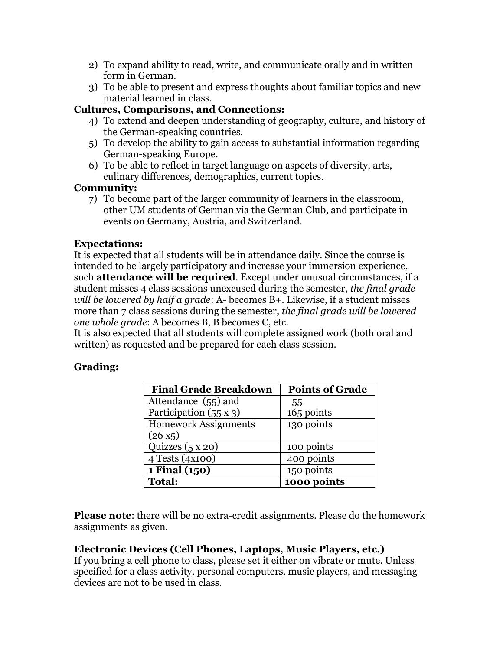- 2) To expand ability to read, write, and communicate orally and in written form in German.
- 3) To be able to present and express thoughts about familiar topics and new material learned in class.

## **Cultures, Comparisons, and Connections:**

- 4) To extend and deepen understanding of geography, culture, and history of the German-speaking countries.
- 5) To develop the ability to gain access to substantial information regarding German-speaking Europe.
- 6) To be able to reflect in target language on aspects of diversity, arts, culinary differences, demographics, current topics.

### **Community:**

7) To become part of the larger community of learners in the classroom, other UM students of German via the German Club, and participate in events on Germany, Austria, and Switzerland.

## **Expectations:**

It is expected that all students will be in attendance daily. Since the course is intended to be largely participatory and increase your immersion experience, such **attendance will be required**. Except under unusual circumstances, if a student misses 4 class sessions unexcused during the semester, *the final grade will be lowered by half a grade*: A- becomes B+. Likewise, if a student misses more than 7 class sessions during the semester, *the final grade will be lowered one whole grade*: A becomes B, B becomes C, etc.

It is also expected that all students will complete assigned work (both oral and written) as requested and be prepared for each class session.

# **Grading:**

| <b>Final Grade Breakdown</b>  | <b>Points of Grade</b> |
|-------------------------------|------------------------|
| Attendance (55) and           | 55                     |
| Participation $(55 \times 3)$ | 165 points             |
| <b>Homework Assignments</b>   | 130 points             |
| $(26 x_5)$                    |                        |
| Quizzes $(5x20)$              | 100 points             |
| 4 Tests (4x100)               | 400 points             |
| 1 Final (150)                 | 150 points             |
| <b>Total:</b>                 | 1000 points            |

**Please note**: there will be no extra-credit assignments. Please do the homework assignments as given.

# **Electronic Devices (Cell Phones, Laptops, Music Players, etc.)**

If you bring a cell phone to class, please set it either on vibrate or mute. Unless specified for a class activity, personal computers, music players, and messaging devices are not to be used in class.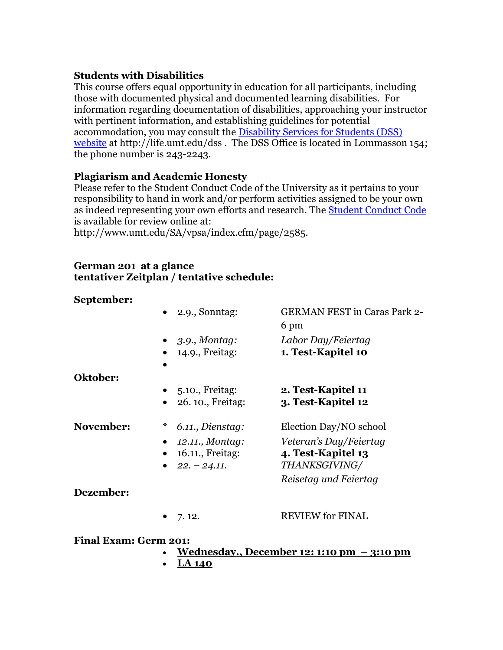### **Students with Disabilities**

This course offers equal opportunity in education for all participants, including those with documented physical and documented learning disabilities. For information regarding documentation of disabilities, approaching your instructor with pertinent information, and establishing guidelines for potential accommodation, you may consult the [Disability Services for Students \(DSS\)](http://life.umt.edu/dss)  [website](http://life.umt.edu/dss) at http://life.umt.edu/dss. The DSS Office is located in Lommasson 154; the phone number is 243-2243.

### **Plagiarism and Academic Honesty**

Please refer to the Student Conduct Code of the University as it pertains to your responsibility to hand in work and/or perform activities assigned to be your own as indeed representing your own efforts and research. The **Student Conduct Code** is available for review online at:

http://www.umt.edu/SA/vpsa/index.cfm/page/2585.

#### **German 201 at a glance tentativer Zeitplan / tentative schedule:**

### **September:**

|                              | $\bullet$ 2.9., Sonntag:   | <b>GERMAN FEST in Caras Park 2-</b> |
|------------------------------|----------------------------|-------------------------------------|
|                              |                            | 6 pm                                |
|                              | $\bullet$ 3.9., Montag:    | Labor Day/Feiertag                  |
|                              | $\bullet$ 14.9., Freitag:  | 1. Test-Kapitel 10                  |
|                              |                            |                                     |
| Oktober:                     |                            |                                     |
|                              | $\bullet$ 5.10., Freitag:  | 2. Test-Kapitel 11                  |
|                              | $\bullet$ 26.10., Freitag: | 3. Test-Kapitel 12                  |
| November:                    | *<br>6.11., Dienstag:      | Election Day/NO school              |
|                              | 12.11., Montag:            | Veteran's Day/Feiertag              |
|                              | 16.11., Freitag:           | 4. Test-Kapitel 13                  |
|                              | • $22. - 24.11$ .          | THANKSGIVING/                       |
|                              |                            | Reisetag und Feiertag               |
| Dezember:                    |                            |                                     |
|                              | $\bullet$ 7.12.            | <b>REVIEW for FINAL</b>             |
| <b>Final Exam: Germ 201:</b> |                            |                                     |

- **Wednesday., December 12: 1:10 pm – 3:10 pm** 
	- **LA 140**